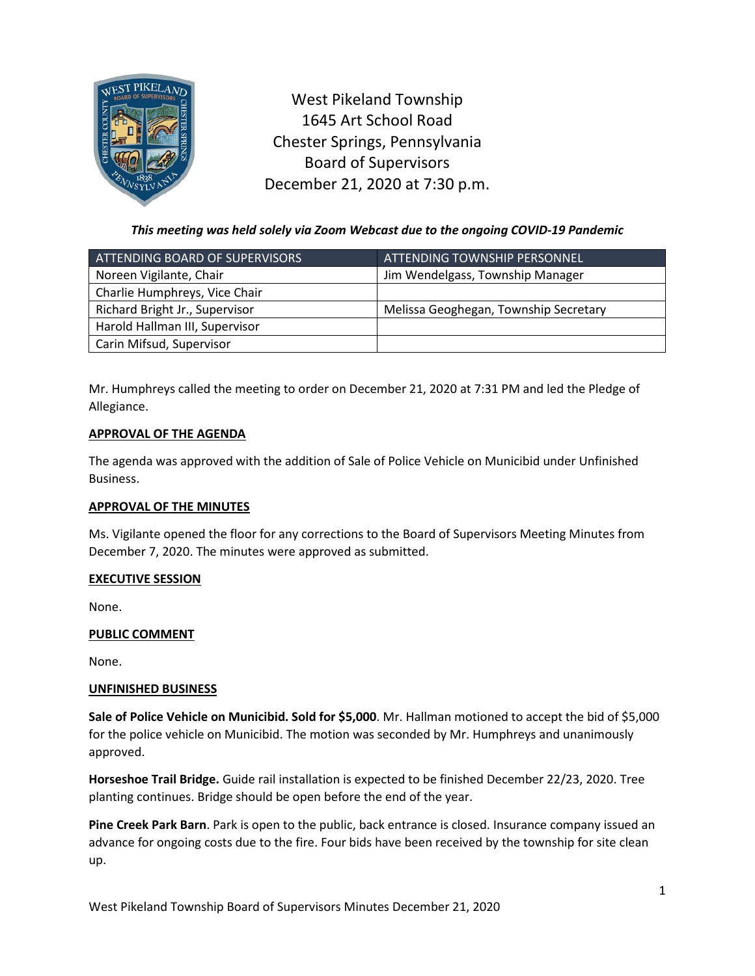

West Pikeland Township 1645 Art School Road Chester Springs, Pennsylvania Board of Supervisors December 21, 2020 at 7:30 p.m.

*This meeting was held solely via Zoom Webcast due to the ongoing COVID-19 Pandemic*

| ATTENDING BOARD OF SUPERVISORS | <u>ATTENDING TOWNSHIP PERSONNEL,</u>  |
|--------------------------------|---------------------------------------|
| Noreen Vigilante, Chair        | Jim Wendelgass, Township Manager      |
| Charlie Humphreys, Vice Chair  |                                       |
| Richard Bright Jr., Supervisor | Melissa Geoghegan, Township Secretary |
| Harold Hallman III, Supervisor |                                       |
| Carin Mifsud, Supervisor       |                                       |

Mr. Humphreys called the meeting to order on December 21, 2020 at 7:31 PM and led the Pledge of Allegiance.

# **APPROVAL OF THE AGENDA**

The agenda was approved with the addition of Sale of Police Vehicle on Municibid under Unfinished Business.

## **APPROVAL OF THE MINUTES**

Ms. Vigilante opened the floor for any corrections to the Board of Supervisors Meeting Minutes from December 7, 2020. The minutes were approved as submitted.

## **EXECUTIVE SESSION**

None.

## **PUBLIC COMMENT**

None.

## **UNFINISHED BUSINESS**

**Sale of Police Vehicle on Municibid. Sold for \$5,000**. Mr. Hallman motioned to accept the bid of \$5,000 for the police vehicle on Municibid. The motion was seconded by Mr. Humphreys and unanimously approved.

**Horseshoe Trail Bridge.** Guide rail installation is expected to be finished December 22/23, 2020. Tree planting continues. Bridge should be open before the end of the year.

**Pine Creek Park Barn**. Park is open to the public, back entrance is closed. Insurance company issued an advance for ongoing costs due to the fire. Four bids have been received by the township for site clean up.